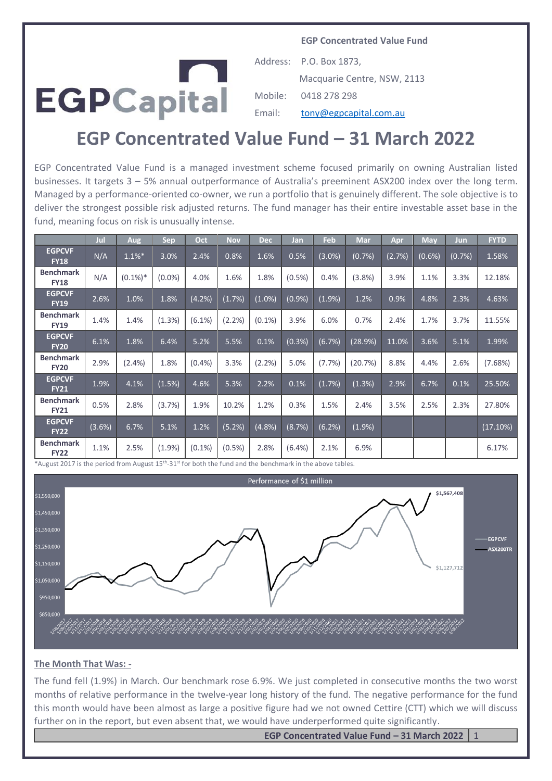**EGP Concentrated Value Fund**



Address: P.O. Box 1873, Macquarie Centre, NSW, 2113 Mobile: 0418 278 298 Email: [tony@egpcapital.com.au](mailto:tony@egpcapital.com.au)

# **EGP Concentrated Value Fund – 31 March 2022**

EGP Concentrated Value Fund is a managed investment scheme focused primarily on owning Australian listed businesses. It targets 3 – 5% annual outperformance of Australia's preeminent ASX200 index over the long term. Managed by a performance-oriented co-owner, we run a portfolio that is genuinely different. The sole objective is to deliver the strongest possible risk adjusted returns. The fund manager has their entire investable asset base in the fund, meaning focus on risk is unusually intense.

|                                 | Jul    | <b>Aug</b> | Sep       | Oct       | <b>Nov</b> | <b>Dec</b> | Jan       | Feb       | <b>Mar</b> | Apr    | <b>May</b> | Jun    | <b>FYTD</b> |
|---------------------------------|--------|------------|-----------|-----------|------------|------------|-----------|-----------|------------|--------|------------|--------|-------------|
| <b>EGPCVF</b><br><b>FY18</b>    | N/A    | $1.1\%$ *  | 3.0%      | 2.4%      | 0.8%       | 1.6%       | 0.5%      | $(3.0\%)$ | (0.7%)     | (2.7%) | (0.6%)     | (0.7%) | 1.58%       |
| <b>Benchmark</b><br><b>FY18</b> | N/A    | $(0.1\%)*$ | $(0.0\%)$ | 4.0%      | 1.6%       | 1.8%       | $(0.5\%)$ | 0.4%      | (3.8%)     | 3.9%   | 1.1%       | 3.3%   | 12.18%      |
| <b>EGPCVF</b><br><b>FY19</b>    | 2.6%   | 1.0%       | 1.8%      | (4.2%)    | (1.7%)     | $(1.0\%)$  | (0.9%     | (1.9%     | 1.2%       | 0.9%   | 4.8%       | 2.3%   | 4.63%       |
| <b>Benchmark</b><br><b>FY19</b> | 1.4%   | 1.4%       | (1.3%)    | $(6.1\%)$ | (2.2%)     | $(0.1\%)$  | 3.9%      | 6.0%      | 0.7%       | 2.4%   | 1.7%       | 3.7%   | 11.55%      |
| <b>EGPCVF</b><br><b>FY20</b>    | 6.1%   | 1.8%       | 6.4%      | 5.2%      | 5.5%       | 0.1%       | (0.3%)    | (6.7%)    | (28.9%)    | 11.0%  | 3.6%       | 5.1%   | 1.99%       |
| <b>Benchmark</b><br><b>FY20</b> | 2.9%   | $(2.4\%)$  | 1.8%      | (0.4% )   | 3.3%       | (2.2%)     | 5.0%      | (7.7%)    | (20.7%)    | 8.8%   | 4.4%       | 2.6%   | (7.68%)     |
| <b>EGPCVF</b><br><b>FY21</b>    | 1.9%   | 4.1%       | (1.5%)    | 4.6%      | 5.3%       | 2.2%       | 0.1%      | (1.7%)    | (1.3%)     | 2.9%   | 6.7%       | 0.1%   | 25.50%      |
| <b>Benchmark</b><br><b>FY21</b> | 0.5%   | 2.8%       | (3.7%)    | 1.9%      | 10.2%      | 1.2%       | 0.3%      | 1.5%      | 2.4%       | 3.5%   | 2.5%       | 2.3%   | 27.80%      |
| <b>EGPCVF</b><br><b>FY22</b>    | (3.6%) | 6.7%       | 5.1%      | 1.2%      | (5.2%)     | (4.8%)     | (8.7%)    | (6.2%)    | (1.9%      |        |            |        | (17.10%)    |
| <b>Benchmark</b><br><b>FY22</b> | 1.1%   | 2.5%       | $(1.9\%)$ | $(0.1\%)$ | $(0.5\%)$  | 2.8%       | $(6.4\%)$ | 2.1%      | 6.9%       |        |            |        | 6.17%       |

\*August 2017 is the period from August 15th -31st for both the fund and the benchmark in the above tables.



#### **The Month That Was: -**

The fund fell (1.9%) in March. Our benchmark rose 6.9%. We just completed in consecutive months the two worst months of relative performance in the twelve-year long history of the fund. The negative performance for the fund this month would have been almost as large a positive figure had we not owned Cettire (CTT) which we will discuss further on in the report, but even absent that, we would have underperformed quite significantly.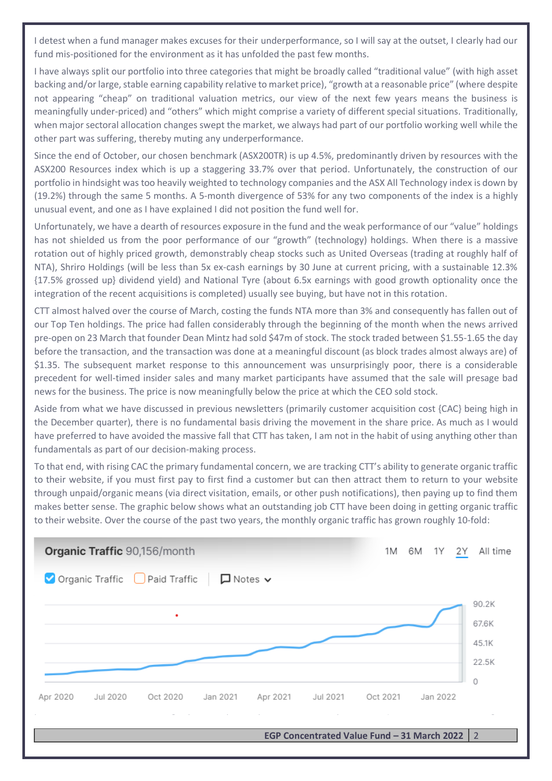I detest when a fund manager makes excuses for their underperformance, so I will say at the outset, I clearly had our fund mis-positioned for the environment as it has unfolded the past few months.

I have always split our portfolio into three categories that might be broadly called "traditional value" (with high asset backing and/or large, stable earning capability relative to market price), "growth at a reasonable price" (where despite not appearing "cheap" on traditional valuation metrics, our view of the next few years means the business is meaningfully under-priced) and "others" which might comprise a variety of different special situations. Traditionally, when major sectoral allocation changes swept the market, we always had part of our portfolio working well while the other part was suffering, thereby muting any underperformance.

Since the end of October, our chosen benchmark (ASX200TR) is up 4.5%, predominantly driven by resources with the ASX200 Resources index which is up a staggering 33.7% over that period. Unfortunately, the construction of our portfolio in hindsight was too heavily weighted to technology companies and the ASX All Technology index is down by (19.2%) through the same 5 months. A 5-month divergence of 53% for any two components of the index is a highly unusual event, and one as I have explained I did not position the fund well for.

Unfortunately, we have a dearth of resources exposure in the fund and the weak performance of our "value" holdings has not shielded us from the poor performance of our "growth" (technology) holdings. When there is a massive rotation out of highly priced growth, demonstrably cheap stocks such as United Overseas (trading at roughly half of NTA), Shriro Holdings (will be less than 5x ex-cash earnings by 30 June at current pricing, with a sustainable 12.3% {17.5% grossed up} dividend yield) and National Tyre (about 6.5x earnings with good growth optionality once the integration of the recent acquisitions is completed) usually see buying, but have not in this rotation.

CTT almost halved over the course of March, costing the funds NTA more than 3% and consequently has fallen out of our Top Ten holdings. The price had fallen considerably through the beginning of the month when the news arrived pre-open on 23 March that founder Dean Mintz had sold \$47m of stock. The stock traded between \$1.55-1.65 the day before the transaction, and the transaction was done at a meaningful discount (as block trades almost always are) of \$1.35. The subsequent market response to this announcement was unsurprisingly poor, there is a considerable precedent for well-timed insider sales and many market participants have assumed that the sale will presage bad news for the business. The price is now meaningfully below the price at which the CEO sold stock.

Aside from what we have discussed in previous newsletters (primarily customer acquisition cost {CAC} being high in the December quarter), there is no fundamental basis driving the movement in the share price. As much as I would have preferred to have avoided the massive fall that CTT has taken, I am not in the habit of using anything other than fundamentals as part of our decision-making process.

To that end, with rising CAC the primary fundamental concern, we are tracking CTT's ability to generate organic traffic to their website, if you must first pay to first find a customer but can then attract them to return to your website through unpaid/organic means (via direct visitation, emails, or other push notifications), then paying up to find them makes better sense. The graphic below shows what an outstanding job CTT have been doing in getting organic traffic to their website. Over the course of the past two years, the monthly organic traffic has grown roughly 10-fold:

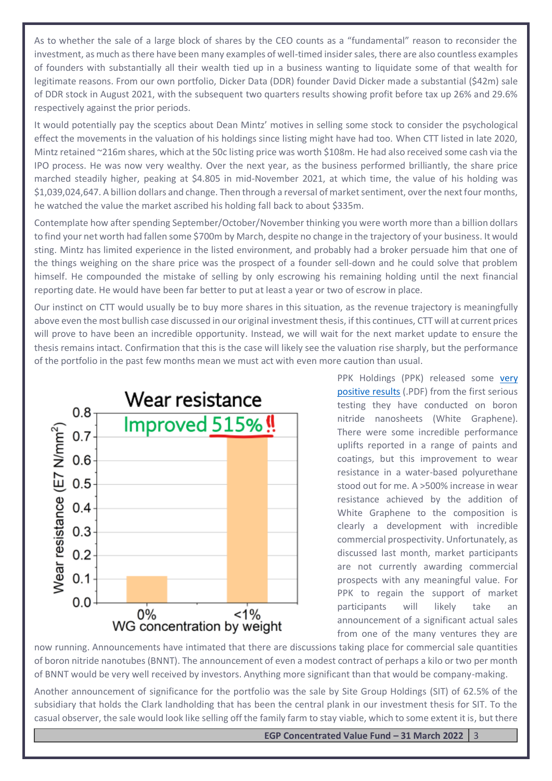As to whether the sale of a large block of shares by the CEO counts as a "fundamental" reason to reconsider the investment, as much as there have been many examples of well-timed insider sales, there are also countless examples of founders with substantially all their wealth tied up in a business wanting to liquidate some of that wealth for legitimate reasons. From our own portfolio, Dicker Data (DDR) founder David Dicker made a substantial (\$42m) sale of DDR stock in August 2021, with the subsequent two quarters results showing profit before tax up 26% and 29.6% respectively against the prior periods.

It would potentially pay the sceptics about Dean Mintz' motives in selling some stock to consider the psychological effect the movements in the valuation of his holdings since listing might have had too. When CTT listed in late 2020, Mintz retained ~216m shares, which at the 50c listing price was worth \$108m. He had also received some cash via the IPO process. He was now very wealthy. Over the next year, as the business performed brilliantly, the share price marched steadily higher, peaking at \$4.805 in mid-November 2021, at which time, the value of his holding was \$1,039,024,647. A billion dollars and change. Then through a reversal of market sentiment, over the next four months, he watched the value the market ascribed his holding fall back to about \$335m.

Contemplate how after spending September/October/November thinking you were worth more than a billion dollars to find your net worth had fallen some \$700m by March, despite no change in the trajectory of your business. It would sting. Mintz has limited experience in the listed environment, and probably had a broker persuade him that one of the things weighing on the share price was the prospect of a founder sell-down and he could solve that problem himself. He compounded the mistake of selling by only escrowing his remaining holding until the next financial reporting date. He would have been far better to put at least a year or two of escrow in place.

Our instinct on CTT would usually be to buy more shares in this situation, as the revenue trajectory is meaningfully above even the most bullish case discussed in our original investment thesis, if this continues, CTT will at current prices will prove to have been an incredible opportunity. Instead, we will wait for the next market update to ensure the thesis remains intact. Confirmation that this is the case will likely see the valuation rise sharply, but the performance of the portfolio in the past few months mean we must act with even more caution than usual.



PPK Holdings (PPK) released some very [positive results](https://www.asx.com.au/asxpdf/20220322/pdf/45776zc18wl31c.pdf) (.PDF) from the first serious testing they have conducted on boron nitride nanosheets (White Graphene). There were some incredible performance uplifts reported in a range of paints and coatings, but this improvement to wear resistance in a water-based polyurethane stood out for me. A >500% increase in wear resistance achieved by the addition of White Graphene to the composition is clearly a development with incredible commercial prospectivity. Unfortunately, as discussed last month, market participants are not currently awarding commercial prospects with any meaningful value. For PPK to regain the support of market participants will likely take an announcement of a significant actual sales from one of the many ventures they are

now running. Announcements have intimated that there are discussions taking place for commercial sale quantities of boron nitride nanotubes (BNNT). The announcement of even a modest contract of perhaps a kilo or two per month of BNNT would be very well received by investors. Anything more significant than that would be company-making.

Another announcement of significance for the portfolio was the sale by Site Group Holdings (SIT) of 62.5% of the subsidiary that holds the Clark landholding that has been the central plank in our investment thesis for SIT. To the casual observer, the sale would look like selling off the family farm to stay viable, which to some extent it is, but there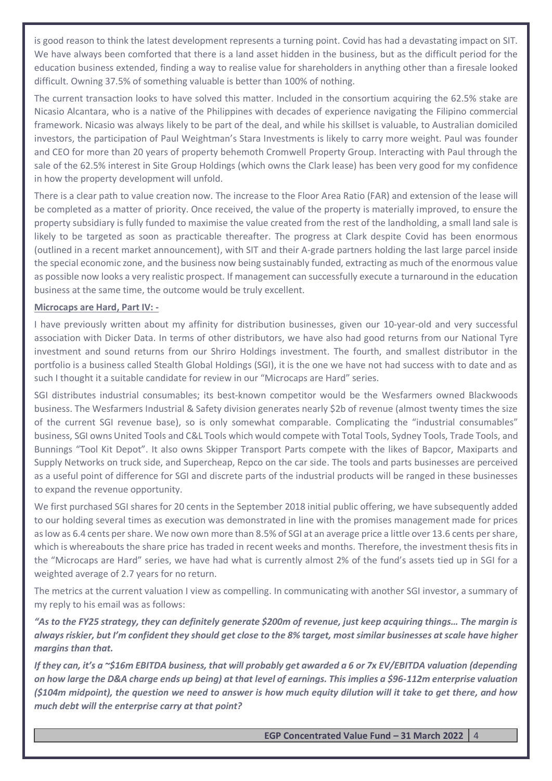is good reason to think the latest development represents a turning point. Covid has had a devastating impact on SIT. We have always been comforted that there is a land asset hidden in the business, but as the difficult period for the education business extended, finding a way to realise value for shareholders in anything other than a firesale looked difficult. Owning 37.5% of something valuable is better than 100% of nothing.

The current transaction looks to have solved this matter. Included in the consortium acquiring the 62.5% stake are Nicasio Alcantara, who is a native of the Philippines with decades of experience navigating the Filipino commercial framework. Nicasio was always likely to be part of the deal, and while his skillset is valuable, to Australian domiciled investors, the participation of Paul Weightman's Stara Investments is likely to carry more weight. Paul was founder and CEO for more than 20 years of property behemoth Cromwell Property Group. Interacting with Paul through the sale of the 62.5% interest in Site Group Holdings (which owns the Clark lease) has been very good for my confidence in how the property development will unfold.

There is a clear path to value creation now. The increase to the Floor Area Ratio (FAR) and extension of the lease will be completed as a matter of priority. Once received, the value of the property is materially improved, to ensure the property subsidiary is fully funded to maximise the value created from the rest of the landholding, a small land sale is likely to be targeted as soon as practicable thereafter. The progress at Clark despite Covid has been enormous (outlined in a recent market announcement), with SIT and their A-grade partners holding the last large parcel inside the special economic zone, and the business now being sustainably funded, extracting as much of the enormous value as possible now looks a very realistic prospect. If management can successfully execute a turnaround in the education business at the same time, the outcome would be truly excellent.

## **Microcaps are Hard, Part IV: -**

I have previously written about my affinity for distribution businesses, given our 10-year-old and very successful association with Dicker Data. In terms of other distributors, we have also had good returns from our National Tyre investment and sound returns from our Shriro Holdings investment. The fourth, and smallest distributor in the portfolio is a business called Stealth Global Holdings (SGI), it is the one we have not had success with to date and as such I thought it a suitable candidate for review in our "Microcaps are Hard" series.

SGI distributes industrial consumables; its best-known competitor would be the Wesfarmers owned Blackwoods business. The Wesfarmers Industrial & Safety division generates nearly \$2b of revenue (almost twenty times the size of the current SGI revenue base), so is only somewhat comparable. Complicating the "industrial consumables" business, SGI owns United Tools and C&L Tools which would compete with Total Tools, Sydney Tools, Trade Tools, and Bunnings "Tool Kit Depot". It also owns Skipper Transport Parts compete with the likes of Bapcor, Maxiparts and Supply Networks on truck side, and Supercheap, Repco on the car side. The tools and parts businesses are perceived as a useful point of difference for SGI and discrete parts of the industrial products will be ranged in these businesses to expand the revenue opportunity.

We first purchased SGI shares for 20 cents in the September 2018 initial public offering, we have subsequently added to our holding several times as execution was demonstrated in line with the promises management made for prices as low as 6.4 cents per share. We now own more than 8.5% of SGI at an average price a little over 13.6 cents per share, which is whereabouts the share price has traded in recent weeks and months. Therefore, the investment thesis fits in the "Microcaps are Hard" series, we have had what is currently almost 2% of the fund's assets tied up in SGI for a weighted average of 2.7 years for no return.

The metrics at the current valuation I view as compelling. In communicating with another SGI investor, a summary of my reply to his email was as follows:

*"As to the FY25 strategy, they can definitely generate \$200m of revenue, just keep acquiring things… The margin is always riskier, but I'm confident they should get close to the 8% target, most similar businesses at scale have higher margins than that.*

*If they can, it's a ~\$16m EBITDA business, that will probably get awarded a 6 or 7x EV/EBITDA valuation (depending on how large the D&A charge ends up being) at that level of earnings. This implies a \$96-112m enterprise valuation (\$104m midpoint), the question we need to answer is how much equity dilution will it take to get there, and how much debt will the enterprise carry at that point?*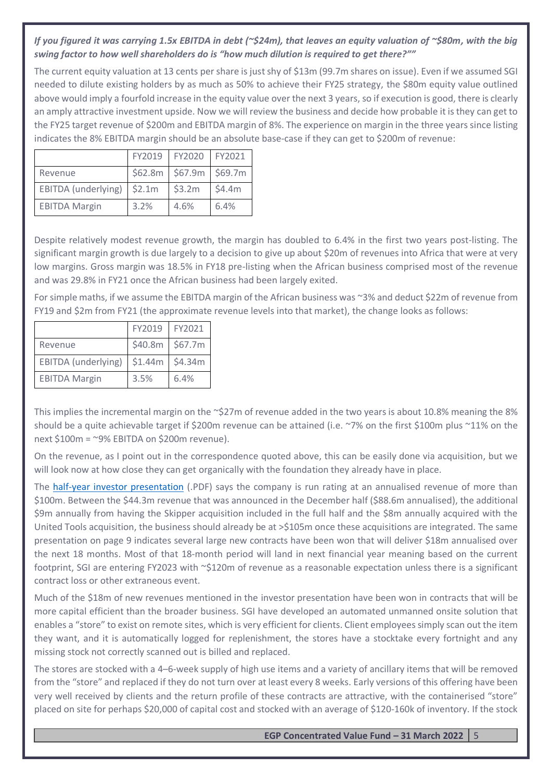# *If you figured it was carrying 1.5x EBITDA in debt (~\$24m), that leaves an equity valuation of ~\$80m, with the big swing factor to how well shareholders do is "how much dilution is required to get there?""*

The current equity valuation at 13 cents per share is just shy of \$13m (99.7m shares on issue). Even if we assumed SGI needed to dilute existing holders by as much as 50% to achieve their FY25 strategy, the \$80m equity value outlined above would imply a fourfold increase in the equity value over the next 3 years, so if execution is good, there is clearly an amply attractive investment upside. Now we will review the business and decide how probable it is they can get to the FY25 target revenue of \$200m and EBITDA margin of 8%. The experience on margin in the three years since listing indicates the 8% EBITDA margin should be an absolute base-case if they can get to \$200m of revenue:

|                      | FY2019 | FY2020                  | FY2021 |
|----------------------|--------|-------------------------|--------|
| Revenue              |        | \$62.8m \$67.9m \$69.7m |        |
| EBITDA (underlying)  | \$2.1m | \$3.2m                  | \$4.4m |
| <b>EBITDA Margin</b> | 3.2%   | 4.6%                    | 6.4%   |

Despite relatively modest revenue growth, the margin has doubled to 6.4% in the first two years post-listing. The significant margin growth is due largely to a decision to give up about \$20m of revenues into Africa that were at very low margins. Gross margin was 18.5% in FY18 pre-listing when the African business comprised most of the revenue and was 29.8% in FY21 once the African business had been largely exited.

For simple maths, if we assume the EBITDA margin of the African business was ~3% and deduct \$22m of revenue from FY19 and \$2m from FY21 (the approximate revenue levels into that market), the change looks as follows:

|                      | FY2019  | FY2021  |
|----------------------|---------|---------|
| Revenue              | \$40.8m | \$67.7m |
| EBITDA (underlying)  | \$1.44m | \$4.34m |
| <b>EBITDA Margin</b> | 3.5%    | 6.4%    |

This implies the incremental margin on the  $\sim$ \$27m of revenue added in the two years is about 10.8% meaning the 8% should be a quite achievable target if \$200m revenue can be attained (i.e. ~7% on the first \$100m plus ~11% on the next \$100m = ~9% EBITDA on \$200m revenue).

On the revenue, as I point out in the correspondence quoted above, this can be easily done via acquisition, but we will look now at how close they can get organically with the foundation they already have in place.

The [half-year investor presentation](https://www.asx.com.au/asxpdf/20220310/pdf/456wp6tc693sbc.pdf) (.PDF) says the company is run rating at an annualised revenue of more than \$100m. Between the \$44.3m revenue that was announced in the December half (\$88.6m annualised), the additional \$9m annually from having the Skipper acquisition included in the full half and the \$8m annually acquired with the United Tools acquisition, the business should already be at >\$105m once these acquisitions are integrated. The same presentation on page 9 indicates several large new contracts have been won that will deliver \$18m annualised over the next 18 months. Most of that 18-month period will land in next financial year meaning based on the current footprint, SGI are entering FY2023 with ~\$120m of revenue as a reasonable expectation unless there is a significant contract loss or other extraneous event.

Much of the \$18m of new revenues mentioned in the investor presentation have been won in contracts that will be more capital efficient than the broader business. SGI have developed an automated unmanned onsite solution that enables a "store" to exist on remote sites, which is very efficient for clients. Client employees simply scan out the item they want, and it is automatically logged for replenishment, the stores have a stocktake every fortnight and any missing stock not correctly scanned out is billed and replaced.

The stores are stocked with a 4–6-week supply of high use items and a variety of ancillary items that will be removed from the "store" and replaced if they do not turn over at least every 8 weeks. Early versions of this offering have been very well received by clients and the return profile of these contracts are attractive, with the containerised "store" placed on site for perhaps \$20,000 of capital cost and stocked with an average of \$120-160k of inventory. If the stock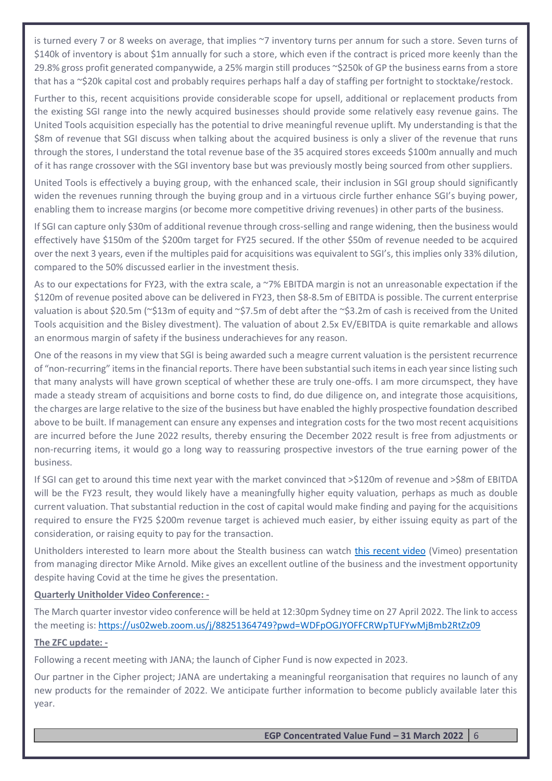is turned every 7 or 8 weeks on average, that implies ~7 inventory turns per annum for such a store. Seven turns of \$140k of inventory is about \$1m annually for such a store, which even if the contract is priced more keenly than the 29.8% gross profit generated companywide, a 25% margin still produces ~\$250k of GP the business earns from a store that has a ~\$20k capital cost and probably requires perhaps half a day of staffing per fortnight to stocktake/restock.

Further to this, recent acquisitions provide considerable scope for upsell, additional or replacement products from the existing SGI range into the newly acquired businesses should provide some relatively easy revenue gains. The United Tools acquisition especially has the potential to drive meaningful revenue uplift. My understanding is that the \$8m of revenue that SGI discuss when talking about the acquired business is only a sliver of the revenue that runs through the stores, I understand the total revenue base of the 35 acquired stores exceeds \$100m annually and much of it has range crossover with the SGI inventory base but was previously mostly being sourced from other suppliers.

United Tools is effectively a buying group, with the enhanced scale, their inclusion in SGI group should significantly widen the revenues running through the buying group and in a virtuous circle further enhance SGI's buying power, enabling them to increase margins (or become more competitive driving revenues) in other parts of the business.

If SGI can capture only \$30m of additional revenue through cross-selling and range widening, then the business would effectively have \$150m of the \$200m target for FY25 secured. If the other \$50m of revenue needed to be acquired over the next 3 years, even if the multiples paid for acquisitions was equivalent to SGI's, this implies only 33% dilution, compared to the 50% discussed earlier in the investment thesis.

As to our expectations for FY23, with the extra scale, a ~7% EBITDA margin is not an unreasonable expectation if the \$120m of revenue posited above can be delivered in FY23, then \$8-8.5m of EBITDA is possible. The current enterprise valuation is about \$20.5m (~\$13m of equity and ~\$7.5m of debt after the ~\$3.2m of cash is received from the United Tools acquisition and the Bisley divestment). The valuation of about 2.5x EV/EBITDA is quite remarkable and allows an enormous margin of safety if the business underachieves for any reason.

One of the reasons in my view that SGI is being awarded such a meagre current valuation is the persistent recurrence of "non-recurring" items in the financial reports. There have been substantial such items in each year since listing such that many analysts will have grown sceptical of whether these are truly one-offs. I am more circumspect, they have made a steady stream of acquisitions and borne costs to find, do due diligence on, and integrate those acquisitions, the charges are large relative to the size of the business but have enabled the highly prospective foundation described above to be built. If management can ensure any expenses and integration costs for the two most recent acquisitions are incurred before the June 2022 results, thereby ensuring the December 2022 result is free from adjustments or non-recurring items, it would go a long way to reassuring prospective investors of the true earning power of the business.

If SGI can get to around this time next year with the market convinced that >\$120m of revenue and >\$8m of EBITDA will be the FY23 result, they would likely have a meaningfully higher equity valuation, perhaps as much as double current valuation. That substantial reduction in the cost of capital would make finding and paying for the acquisitions required to ensure the FY25 \$200m revenue target is achieved much easier, by either issuing equity as part of the consideration, or raising equity to pay for the transaction.

Unitholders interested to learn more about the Stealth business can watch [this recent video](https://vimeo.com/692995204) (Vimeo) presentation from managing director Mike Arnold. Mike gives an excellent outline of the business and the investment opportunity despite having Covid at the time he gives the presentation.

#### **Quarterly Unitholder Video Conference: -**

The March quarter investor video conference will be held at 12:30pm Sydney time on 27 April 2022. The link to access the meeting is:<https://us02web.zoom.us/j/88251364749?pwd=WDFpOGJYOFFCRWpTUFYwMjBmb2RtZz09>

#### **The ZFC update: -**

Following a recent meeting with JANA; the launch of Cipher Fund is now expected in 2023.

Our partner in the Cipher project; JANA are undertaking a meaningful reorganisation that requires no launch of any new products for the remainder of 2022. We anticipate further information to become publicly available later this year.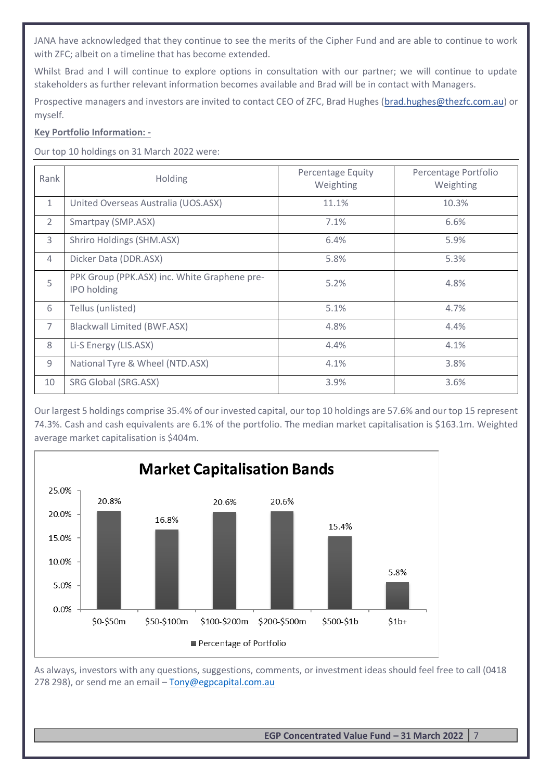JANA have acknowledged that they continue to see the merits of the Cipher Fund and are able to continue to work with ZFC; albeit on a timeline that has become extended.

Whilst Brad and I will continue to explore options in consultation with our partner; we will continue to update stakeholders as further relevant information becomes available and Brad will be in contact with Managers.

Prospective managers and investors are invited to contact CEO of ZFC, Brad Hughes [\(brad.hughes@thezfc.com.au\)](mailto:brad.hughes@thezfc.com.au) or myself.

# **Key Portfolio Information: -**

Our top 10 holdings on 31 March 2022 were:

| Rank           | <b>Holding</b>                                                     | <b>Percentage Equity</b><br>Weighting | Percentage Portfolio<br>Weighting |
|----------------|--------------------------------------------------------------------|---------------------------------------|-----------------------------------|
| $\mathbf{1}$   | United Overseas Australia (UOS.ASX)                                | 11.1%                                 | 10.3%                             |
| $\overline{2}$ | Smartpay (SMP.ASX)                                                 | 7.1%                                  | 6.6%                              |
| 3              | Shriro Holdings (SHM.ASX)                                          | 6.4%                                  | 5.9%                              |
| $\overline{4}$ | Dicker Data (DDR.ASX)                                              | 5.8%                                  | 5.3%                              |
| 5              | PPK Group (PPK.ASX) inc. White Graphene pre-<br><b>IPO</b> holding | 5.2%                                  | 4.8%                              |
| 6              | Tellus (unlisted)                                                  | 5.1%                                  | 4.7%                              |
| $\overline{7}$ | <b>Blackwall Limited (BWF.ASX)</b>                                 | 4.8%                                  | 4.4%                              |
| 8              | Li-S Energy (LIS.ASX)                                              | 4.4%                                  | 4.1%                              |
| 9              | National Tyre & Wheel (NTD.ASX)                                    | 4.1%                                  | 3.8%                              |
| 10             | SRG Global (SRG.ASX)                                               | 3.9%                                  | 3.6%                              |

Our largest 5 holdings comprise 35.4% of our invested capital, our top 10 holdings are 57.6% and our top 15 represent 74.3%. Cash and cash equivalents are 6.1% of the portfolio. The median market capitalisation is \$163.1m. Weighted average market capitalisation is \$404m.



As always, investors with any questions, suggestions, comments, or investment ideas should feel free to call (0418 278 298), or send me an email - [Tony@egpcapital.com.au](mailto:Tony@egpcapital.com.au)